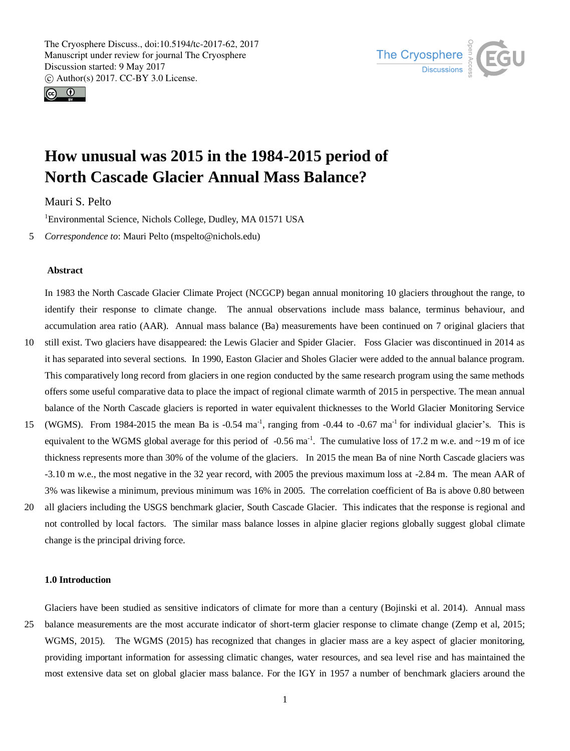



# **How unusual was 2015 in the 1984-2015 period of North Cascade Glacier Annual Mass Balance?**

Mauri S. Pelto

<sup>1</sup>Environmental Science, Nichols College, Dudley, MA 01571 USA

5 *Correspondence to*: Mauri Pelto (mspelto@nichols.edu)

## **Abstract**

In 1983 the North Cascade Glacier Climate Project (NCGCP) began annual monitoring 10 glaciers throughout the range, to identify their response to climate change. The annual observations include mass balance, terminus behaviour, and accumulation area ratio (AAR). Annual mass balance (Ba) measurements have been continued on 7 original glaciers that

- 10 still exist. Two glaciers have disappeared: the Lewis Glacier and Spider Glacier. Foss Glacier was discontinued in 2014 as it has separated into several sections. In 1990, Easton Glacier and Sholes Glacier were added to the annual balance program. This comparatively long record from glaciers in one region conducted by the same research program using the same methods offers some useful comparative data to place the impact of regional climate warmth of 2015 in perspective. The mean annual balance of the North Cascade glaciers is reported in water equivalent thicknesses to the World Glacier Monitoring Service
- 15 (WGMS). From 1984-2015 the mean Ba is  $-0.54$  ma<sup>-1</sup>, ranging from  $-0.44$  to  $-0.67$  ma<sup>-1</sup> for individual glacier's. This is equivalent to the WGMS global average for this period of  $-0.56$  ma<sup>-1</sup>. The cumulative loss of 17.2 m w.e. and  $\sim$ 19 m of ice thickness represents more than 30% of the volume of the glaciers. In 2015 the mean Ba of nine North Cascade glaciers was -3.10 m w.e., the most negative in the 32 year record, with 2005 the previous maximum loss at -2.84 m. The mean AAR of 3% was likewise a minimum, previous minimum was 16% in 2005. The correlation coefficient of Ba is above 0.80 between
- 20 all glaciers including the USGS benchmark glacier, South Cascade Glacier. This indicates that the response is regional and not controlled by local factors. The similar mass balance losses in alpine glacier regions globally suggest global climate change is the principal driving force.

#### **1.0 Introduction**

Glaciers have been studied as sensitive indicators of climate for more than a century (Bojinski et al. 2014). Annual mass 25 balance measurements are the most accurate indicator of short-term glacier response to climate change (Zemp et al, 2015; WGMS, 2015). The WGMS (2015) has recognized that changes in glacier mass are a key aspect of glacier monitoring, providing important information for assessing climatic changes, water resources, and sea level rise and has maintained the most extensive data set on global glacier mass balance. For the IGY in 1957 a number of benchmark glaciers around the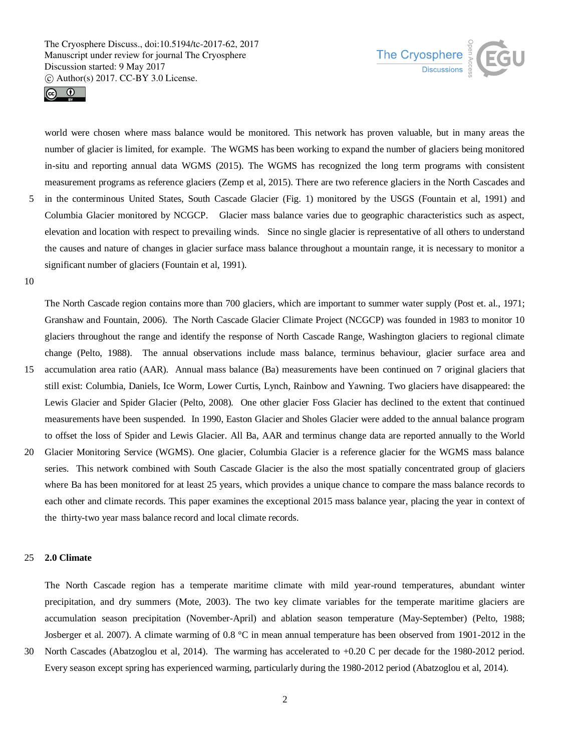



world were chosen where mass balance would be monitored. This network has proven valuable, but in many areas the number of glacier is limited, for example. The WGMS has been working to expand the number of glaciers being monitored in-situ and reporting annual data WGMS (2015). The WGMS has recognized the long term programs with consistent measurement programs as reference glaciers (Zemp et al, 2015). There are two reference glaciers in the North Cascades and 5 in the conterminous United States, South Cascade Glacier (Fig. 1) monitored by the USGS (Fountain et al, 1991) and Columbia Glacier monitored by NCGCP. Glacier mass balance varies due to geographic characteristics such as aspect, elevation and location with respect to prevailing winds. Since no single glacier is representative of all others to understand the causes and nature of changes in glacier surface mass balance throughout a mountain range, it is necessary to monitor a significant number of glaciers (Fountain et al, 1991).

10

The North Cascade region contains more than 700 glaciers, which are important to summer water supply (Post et. al., 1971; Granshaw and Fountain, 2006). The North Cascade Glacier Climate Project (NCGCP) was founded in 1983 to monitor 10 glaciers throughout the range and identify the response of North Cascade Range, Washington glaciers to regional climate change (Pelto, 1988). The annual observations include mass balance, terminus behaviour, glacier surface area and

- 15 accumulation area ratio (AAR). Annual mass balance (Ba) measurements have been continued on 7 original glaciers that still exist: Columbia, Daniels, Ice Worm, Lower Curtis, Lynch, Rainbow and Yawning. Two glaciers have disappeared: the Lewis Glacier and Spider Glacier (Pelto, 2008). One other glacier Foss Glacier has declined to the extent that continued measurements have been suspended. In 1990, Easton Glacier and Sholes Glacier were added to the annual balance program to offset the loss of Spider and Lewis Glacier. All Ba, AAR and terminus change data are reported annually to the World
- 20 Glacier Monitoring Service (WGMS). One glacier, Columbia Glacier is a reference glacier for the WGMS mass balance series. This network combined with South Cascade Glacier is the also the most spatially concentrated group of glaciers where Ba has been monitored for at least 25 years, which provides a unique chance to compare the mass balance records to each other and climate records. This paper examines the exceptional 2015 mass balance year, placing the year in context of the thirty-two year mass balance record and local climate records.

## 25 **2.0 Climate**

The North Cascade region has a temperate maritime climate with mild year-round temperatures, abundant winter precipitation, and dry summers (Mote, 2003). The two key climate variables for the temperate maritime glaciers are accumulation season precipitation (November-April) and ablation season temperature (May-September) (Pelto, 1988; Josberger et al. 2007). A climate warming of 0.8 °C in mean annual temperature has been observed from 1901-2012 in the

30 North Cascades (Abatzoglou et al, 2014). The warming has accelerated to +0.20 C per decade for the 1980-2012 period. Every season except spring has experienced warming, particularly during the 1980-2012 period (Abatzoglou et al, 2014).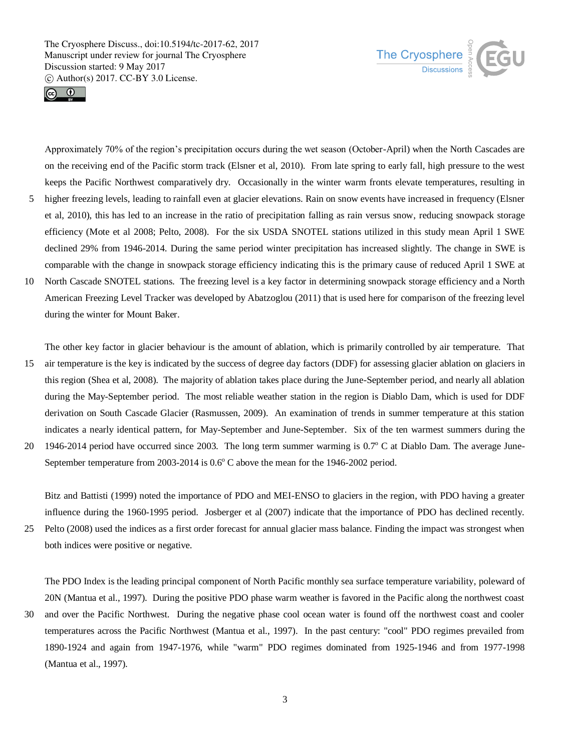



Approximately 70% of the region's precipitation occurs during the wet season (October-April) when the North Cascades are on the receiving end of the Pacific storm track (Elsner et al, 2010). From late spring to early fall, high pressure to the west keeps the Pacific Northwest comparatively dry. Occasionally in the winter warm fronts elevate temperatures, resulting in 5 higher freezing levels, leading to rainfall even at glacier elevations. Rain on snow events have increased in frequency (Elsner

- et al, 2010), this has led to an increase in the ratio of precipitation falling as rain versus snow, reducing snowpack storage efficiency (Mote et al 2008; Pelto, 2008). For the six USDA SNOTEL stations utilized in this study mean April 1 SWE declined 29% from 1946-2014. During the same period winter precipitation has increased slightly. The change in SWE is comparable with the change in snowpack storage efficiency indicating this is the primary cause of reduced April 1 SWE at
- 10 North Cascade SNOTEL stations. The freezing level is a key factor in determining snowpack storage efficiency and a North American Freezing Level Tracker was developed by Abatzoglou (2011) that is used here for comparison of the freezing level during the winter for Mount Baker.

The other key factor in glacier behaviour is the amount of ablation, which is primarily controlled by air temperature. That

- 15 air temperature is the key is indicated by the success of degree day factors (DDF) for assessing glacier ablation on glaciers in this region (Shea et al, 2008). The majority of ablation takes place during the June-September period, and nearly all ablation during the May-September period. The most reliable weather station in the region is Diablo Dam, which is used for DDF derivation on South Cascade Glacier (Rasmussen, 2009). An examination of trends in summer temperature at this station indicates a nearly identical pattern, for May-September and June-September. Six of the ten warmest summers during the
- 20 1946-2014 period have occurred since 2003. The long term summer warming is 0.7° C at Diablo Dam. The average June-September temperature from 2003-2014 is  $0.6^{\circ}$  C above the mean for the 1946-2002 period.

Bitz and Battisti (1999) noted the importance of PDO and MEI-ENSO to glaciers in the region, with PDO having a greater influence during the 1960-1995 period. Josberger et al (2007) indicate that the importance of PDO has declined recently.

25 Pelto (2008) used the indices as a first order forecast for annual glacier mass balance. Finding the impact was strongest when both indices were positive or negative.

The PDO Index is the leading principal component of North Pacific monthly sea surface temperature variability, poleward of 20N (Mantua et al., 1997). During the positive PDO phase warm weather is favored in the Pacific along the northwest coast

30 and over the Pacific Northwest. During the negative phase cool ocean water is found off the northwest coast and cooler temperatures across the Pacific Northwest (Mantua et al., 1997). In the past century: "cool" PDO regimes prevailed from 1890-1924 and again from 1947-1976, while "warm" PDO regimes dominated from 1925-1946 and from 1977-1998 (Mantua et al., 1997).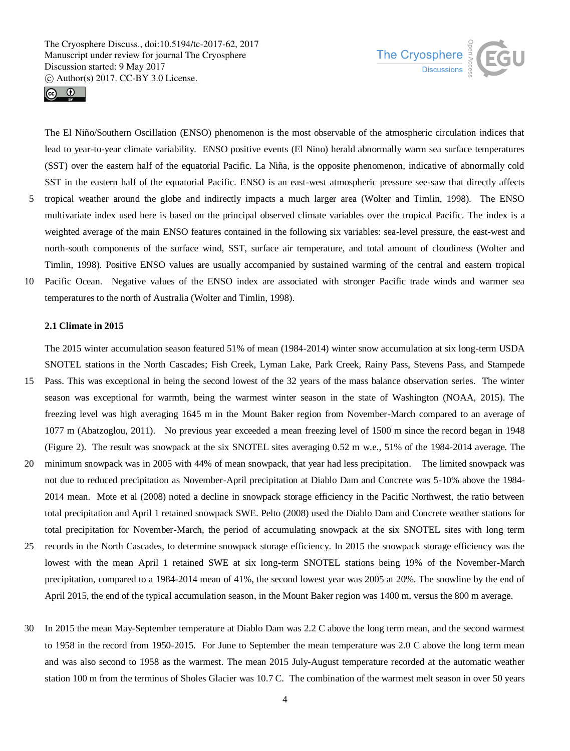temperatures to the north of Australia (Wolter and Timlin, 1998).





The El Niño/Southern Oscillation (ENSO) phenomenon is the most observable of the atmospheric circulation indices that lead to year-to-year climate variability. ENSO positive events (El Nino) herald abnormally warm sea surface temperatures (SST) over the eastern half of the equatorial Pacific. La Niña, is the opposite phenomenon, indicative of abnormally cold SST in the eastern half of the equatorial Pacific. ENSO is an east-west atmospheric pressure see-saw that directly affects 5 tropical weather around the globe and indirectly impacts a much larger area (Wolter and Timlin, 1998). The ENSO multivariate index used here is based on the principal observed climate variables over the tropical Pacific. The index is a weighted average of the main ENSO features contained in the following six variables: sea-level pressure, the east-west and north-south components of the surface wind, SST, surface air temperature, and total amount of cloudiness (Wolter and Timlin, 1998). Positive ENSO values are usually accompanied by sustained warming of the central and eastern tropical 10 Pacific Ocean. Negative values of the ENSO index are associated with stronger Pacific trade winds and warmer sea

## **2.1 Climate in 2015**

The 2015 winter accumulation season featured 51% of mean (1984-2014) winter snow accumulation at six long-term USDA SNOTEL stations in the North Cascades; Fish Creek, Lyman Lake, Park Creek, Rainy Pass, Stevens Pass, and Stampede

- 15 Pass. This was exceptional in being the second lowest of the 32 years of the mass balance observation series. The winter season was exceptional for warmth, being the warmest winter season in the state of Washington (NOAA, 2015). The freezing level was high averaging 1645 m in the Mount Baker region from November-March compared to an average of 1077 m (Abatzoglou, 2011). No previous year exceeded a mean freezing level of 1500 m since the record began in 1948 (Figure 2). The result was snowpack at the six SNOTEL sites averaging 0.52 m w.e., 51% of the 1984-2014 average. The
- 20 minimum snowpack was in 2005 with 44% of mean snowpack, that year had less precipitation. The limited snowpack was not due to reduced precipitation as November-April precipitation at Diablo Dam and Concrete was 5-10% above the 1984- 2014 mean. Mote et al (2008) noted a decline in snowpack storage efficiency in the Pacific Northwest, the ratio between total precipitation and April 1 retained snowpack SWE. Pelto (2008) used the Diablo Dam and Concrete weather stations for total precipitation for November-March, the period of accumulating snowpack at the six SNOTEL sites with long term
- 25 records in the North Cascades, to determine snowpack storage efficiency. In 2015 the snowpack storage efficiency was the lowest with the mean April 1 retained SWE at six long-term SNOTEL stations being 19% of the November-March precipitation, compared to a 1984-2014 mean of 41%, the second lowest year was 2005 at 20%. The snowline by the end of April 2015, the end of the typical accumulation season, in the Mount Baker region was 1400 m, versus the 800 m average.
- 30 In 2015 the mean May-September temperature at Diablo Dam was 2.2 C above the long term mean, and the second warmest to 1958 in the record from 1950-2015. For June to September the mean temperature was 2.0 C above the long term mean and was also second to 1958 as the warmest. The mean 2015 July-August temperature recorded at the automatic weather station 100 m from the terminus of Sholes Glacier was 10.7 C. The combination of the warmest melt season in over 50 years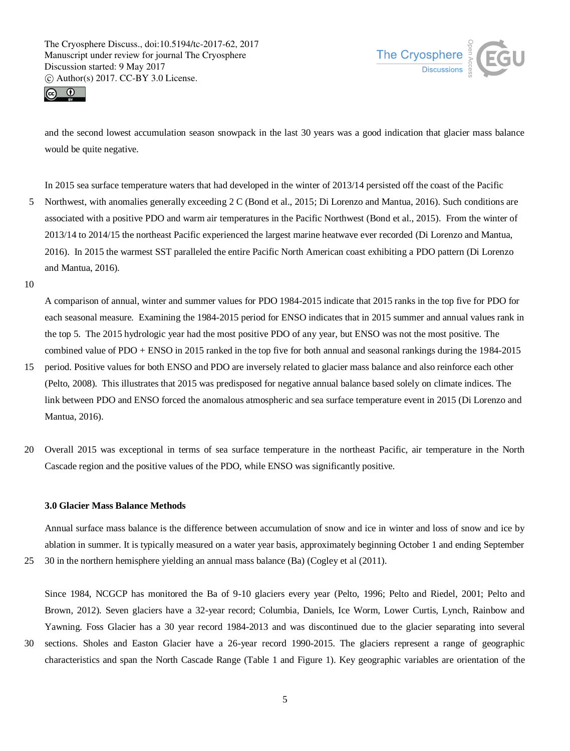



and the second lowest accumulation season snowpack in the last 30 years was a good indication that glacier mass balance would be quite negative.

In 2015 sea surface temperature waters that had developed in the winter of 2013/14 persisted off the coast of the Pacific

- 5 Northwest, with anomalies generally exceeding 2 C (Bond et al., 2015; Di Lorenzo and Mantua, 2016). Such conditions are associated with a positive PDO and warm air temperatures in the Pacific Northwest (Bond et al., 2015). From the winter of 2013/14 to 2014/15 the northeast Pacific experienced the largest marine heatwave ever recorded (Di Lorenzo and Mantua, 2016). In 2015 the warmest SST paralleled the entire Pacific North American coast exhibiting a PDO pattern (Di Lorenzo and Mantua, 2016).
- 10

A comparison of annual, winter and summer values for PDO 1984-2015 indicate that 2015 ranks in the top five for PDO for each seasonal measure. Examining the 1984-2015 period for ENSO indicates that in 2015 summer and annual values rank in the top 5. The 2015 hydrologic year had the most positive PDO of any year, but ENSO was not the most positive. The combined value of PDO + ENSO in 2015 ranked in the top five for both annual and seasonal rankings during the 1984-2015

- 15 period. Positive values for both ENSO and PDO are inversely related to glacier mass balance and also reinforce each other (Pelto, 2008). This illustrates that 2015 was predisposed for negative annual balance based solely on climate indices. The link between PDO and ENSO forced the anomalous atmospheric and sea surface temperature event in 2015 (Di Lorenzo and Mantua, 2016).
- 20 Overall 2015 was exceptional in terms of sea surface temperature in the northeast Pacific, air temperature in the North Cascade region and the positive values of the PDO, while ENSO was significantly positive.

## **3.0 Glacier Mass Balance Methods**

Annual surface mass balance is the difference between accumulation of snow and ice in winter and loss of snow and ice by ablation in summer. It is typically measured on a water year basis, approximately beginning October 1 and ending September

25 30 in the northern hemisphere yielding an annual mass balance (Ba) (Cogley et al (2011).

Since 1984, NCGCP has monitored the Ba of 9-10 glaciers every year (Pelto, 1996; Pelto and Riedel, 2001; Pelto and Brown, 2012). Seven glaciers have a 32-year record; Columbia, Daniels, Ice Worm, Lower Curtis, Lynch, Rainbow and Yawning. Foss Glacier has a 30 year record 1984-2013 and was discontinued due to the glacier separating into several

30 sections. Sholes and Easton Glacier have a 26-year record 1990-2015. The glaciers represent a range of geographic characteristics and span the North Cascade Range (Table 1 and Figure 1). Key geographic variables are orientation of the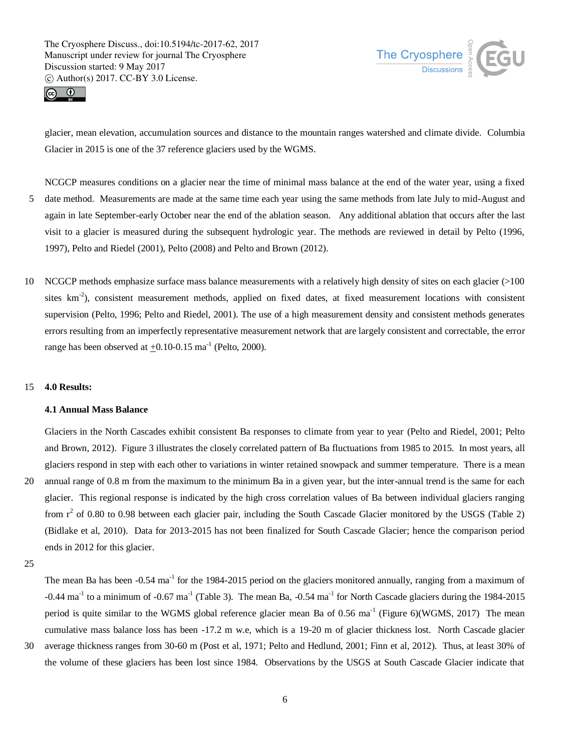



glacier, mean elevation, accumulation sources and distance to the mountain ranges watershed and climate divide. Columbia Glacier in 2015 is one of the 37 reference glaciers used by the WGMS.

- NCGCP measures conditions on a glacier near the time of minimal mass balance at the end of the water year, using a fixed 5 date method. Measurements are made at the same time each year using the same methods from late July to mid-August and again in late September-early October near the end of the ablation season. Any additional ablation that occurs after the last visit to a glacier is measured during the subsequent hydrologic year. The methods are reviewed in detail by Pelto (1996, 1997), Pelto and Riedel (2001), Pelto (2008) and Pelto and Brown (2012).
- 10 NCGCP methods emphasize surface mass balance measurements with a relatively high density of sites on each glacier (>100 sites km<sup>-2</sup>), consistent measurement methods, applied on fixed dates, at fixed measurement locations with consistent supervision (Pelto, 1996; Pelto and Riedel, 2001). The use of a high measurement density and consistent methods generates errors resulting from an imperfectly representative measurement network that are largely consistent and correctable, the error range has been observed at  $\pm 0.10$ -0.15 ma<sup>-1</sup> (Pelto, 2000).

## 15 **4.0 Results:**

## **4.1 Annual Mass Balance**

Glaciers in the North Cascades exhibit consistent Ba responses to climate from year to year (Pelto and Riedel, 2001; Pelto and Brown, 2012). Figure 3 illustrates the closely correlated pattern of Ba fluctuations from 1985 to 2015. In most years, all glaciers respond in step with each other to variations in winter retained snowpack and summer temperature. There is a mean

20 annual range of 0.8 m from the maximum to the minimum Ba in a given year, but the inter-annual trend is the same for each glacier. This regional response is indicated by the high cross correlation values of Ba between individual glaciers ranging from  $r^2$  of 0.80 to 0.98 between each glacier pair, including the South Cascade Glacier monitored by the USGS (Table 2) (Bidlake et al, 2010). Data for 2013-2015 has not been finalized for South Cascade Glacier; hence the comparison period ends in 2012 for this glacier.

The mean Ba has been -0.54 ma<sup>-1</sup> for the 1984-2015 period on the glaciers monitored annually, ranging from a maximum of  $-0.44$  ma<sup>-1</sup> to a minimum of  $-0.67$  ma<sup>-1</sup> (Table 3). The mean Ba,  $-0.54$  ma<sup>-1</sup> for North Cascade glaciers during the 1984-2015 period is quite similar to the WGMS global reference glacier mean Ba of  $0.56 \text{ ma}^{-1}$  (Figure 6)(WGMS, 2017) The mean cumulative mass balance loss has been -17.2 m w.e, which is a 19-20 m of glacier thickness lost. North Cascade glacier

30 average thickness ranges from 30-60 m (Post et al, 1971; Pelto and Hedlund, 2001; Finn et al, 2012). Thus, at least 30% of the volume of these glaciers has been lost since 1984. Observations by the USGS at South Cascade Glacier indicate that

<sup>25</sup>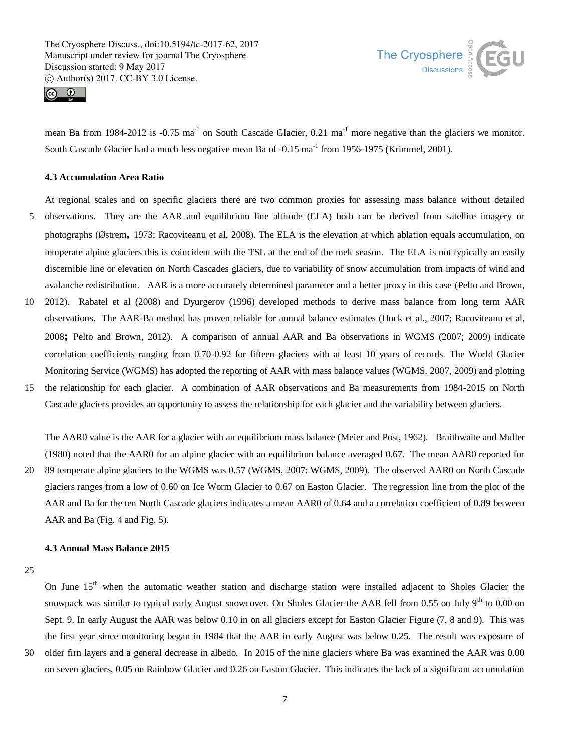



mean Ba from 1984-2012 is -0.75 ma<sup>-1</sup> on South Cascade Glacier,  $0.21 \text{ ma}^{-1}$  more negative than the glaciers we monitor. South Cascade Glacier had a much less negative mean Ba of -0.15 ma<sup>-1</sup> from 1956-1975 (Krimmel, 2001).

## **4.3 Accumulation Area Ratio**

At regional scales and on specific glaciers there are two common proxies for assessing mass balance without detailed

- 5 observations. They are the AAR and equilibrium line altitude (ELA) both can be derived from satellite imagery or photographs (Østrem**,** 1973; Racoviteanu et al, 2008). The ELA is the elevation at which ablation equals accumulation, on temperate alpine glaciers this is coincident with the TSL at the end of the melt season. The ELA is not typically an easily discernible line or elevation on North Cascades glaciers, due to variability of snow accumulation from impacts of wind and avalanche redistribution. AAR is a more accurately determined parameter and a better proxy in this case (Pelto and Brown,
- 10 2012). Rabatel et al (2008) and Dyurgerov (1996) developed methods to derive mass balance from long term AAR observations. The AAR-Ba method has proven reliable for annual balance estimates (Hock et al., 2007; Racoviteanu et al, 2008**;** Pelto and Brown, 2012). A comparison of annual AAR and Ba observations in WGMS (2007; 2009) indicate correlation coefficients ranging from 0.70-0.92 for fifteen glaciers with at least 10 years of records. The World Glacier Monitoring Service (WGMS) has adopted the reporting of AAR with mass balance values (WGMS, 2007, 2009) and plotting
- 15 the relationship for each glacier. A combination of AAR observations and Ba measurements from 1984-2015 on North Cascade glaciers provides an opportunity to assess the relationship for each glacier and the variability between glaciers.

The AAR0 value is the AAR for a glacier with an equilibrium mass balance (Meier and Post, 1962). Braithwaite and Muller (1980) noted that the AAR0 for an alpine glacier with an equilibrium balance averaged 0.67. The mean AAR0 reported for 20 89 temperate alpine glaciers to the WGMS was 0.57 (WGMS, 2007: WGMS, 2009). The observed AAR0 on North Cascade glaciers ranges from a low of 0.60 on Ice Worm Glacier to 0.67 on Easton Glacier. The regression line from the plot of the AAR and Ba for the ten North Cascade glaciers indicates a mean AAR0 of 0.64 and a correlation coefficient of 0.89 between AAR and Ba (Fig. 4 and Fig. 5).

#### **4.3 Annual Mass Balance 2015**

25

On June 15<sup>th</sup> when the automatic weather station and discharge station were installed adjacent to Sholes Glacier the snowpack was similar to typical early August snowcover. On Sholes Glacier the AAR fell from 0.55 on July 9<sup>th</sup> to 0.00 on Sept. 9. In early August the AAR was below 0.10 in on all glaciers except for Easton Glacier Figure (7, 8 and 9). This was the first year since monitoring began in 1984 that the AAR in early August was below 0.25. The result was exposure of 30 older firn layers and a general decrease in albedo. In 2015 of the nine glaciers where Ba was examined the AAR was 0.00 on seven glaciers, 0.05 on Rainbow Glacier and 0.26 on Easton Glacier. This indicates the lack of a significant accumulation

7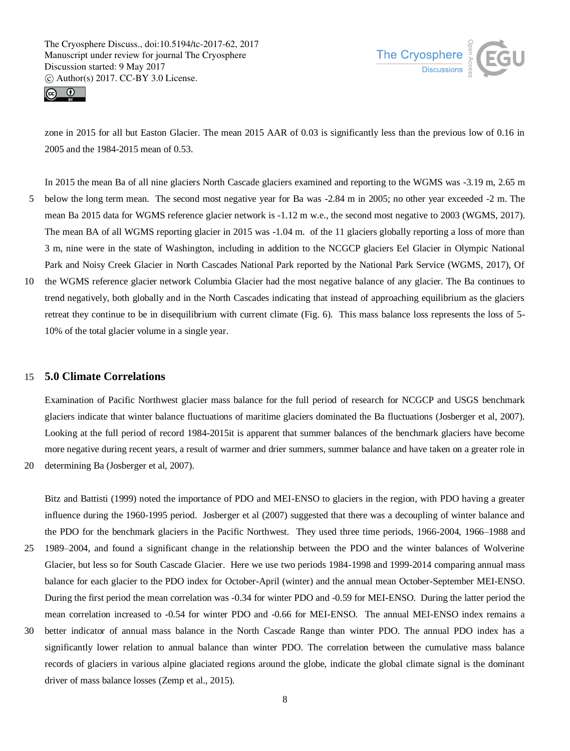



zone in 2015 for all but Easton Glacier. The mean 2015 AAR of 0.03 is significantly less than the previous low of 0.16 in 2005 and the 1984-2015 mean of 0.53.

In 2015 the mean Ba of all nine glaciers North Cascade glaciers examined and reporting to the WGMS was -3.19 m, 2.65 m 5 below the long term mean. The second most negative year for Ba was -2.84 m in 2005; no other year exceeded -2 m. The mean Ba 2015 data for WGMS reference glacier network is -1.12 m w.e., the second most negative to 2003 (WGMS, 2017). The mean BA of all WGMS reporting glacier in 2015 was -1.04 m. of the 11 glaciers globally reporting a loss of more than 3 m, nine were in the state of Washington, including in addition to the NCGCP glaciers Eel Glacier in Olympic National Park and Noisy Creek Glacier in North Cascades National Park reported by the National Park Service (WGMS, 2017), Of

10 the WGMS reference glacier network Columbia Glacier had the most negative balance of any glacier. The Ba continues to trend negatively, both globally and in the North Cascades indicating that instead of approaching equilibrium as the glaciers retreat they continue to be in disequilibrium with current climate (Fig. 6). This mass balance loss represents the loss of 5- 10% of the total glacier volume in a single year.

# 15 **5.0 Climate Correlations**

Examination of Pacific Northwest glacier mass balance for the full period of research for NCGCP and USGS benchmark glaciers indicate that winter balance fluctuations of maritime glaciers dominated the Ba fluctuations (Josberger et al, 2007). Looking at the full period of record 1984-2015it is apparent that summer balances of the benchmark glaciers have become more negative during recent years, a result of warmer and drier summers, summer balance and have taken on a greater role in

20 determining Ba (Josberger et al, 2007).

Bitz and Battisti (1999) noted the importance of PDO and MEI-ENSO to glaciers in the region, with PDO having a greater influence during the 1960-1995 period. Josberger et al (2007) suggested that there was a decoupling of winter balance and the PDO for the benchmark glaciers in the Pacific Northwest. They used three time periods, 1966-2004, 1966–1988 and 25 1989–2004, and found a significant change in the relationship between the PDO and the winter balances of Wolverine Glacier, but less so for South Cascade Glacier. Here we use two periods 1984-1998 and 1999-2014 comparing annual mass balance for each glacier to the PDO index for October-April (winter) and the annual mean October-September MEI-ENSO. During the first period the mean correlation was -0.34 for winter PDO and -0.59 for MEI-ENSO. During the latter period the

mean correlation increased to -0.54 for winter PDO and -0.66 for MEI-ENSO. The annual MEI-ENSO index remains a

30 better indicator of annual mass balance in the North Cascade Range than winter PDO. The annual PDO index has a significantly lower relation to annual balance than winter PDO. The correlation between the cumulative mass balance records of glaciers in various alpine glaciated regions around the globe, indicate the global climate signal is the dominant driver of mass balance losses (Zemp et al., 2015).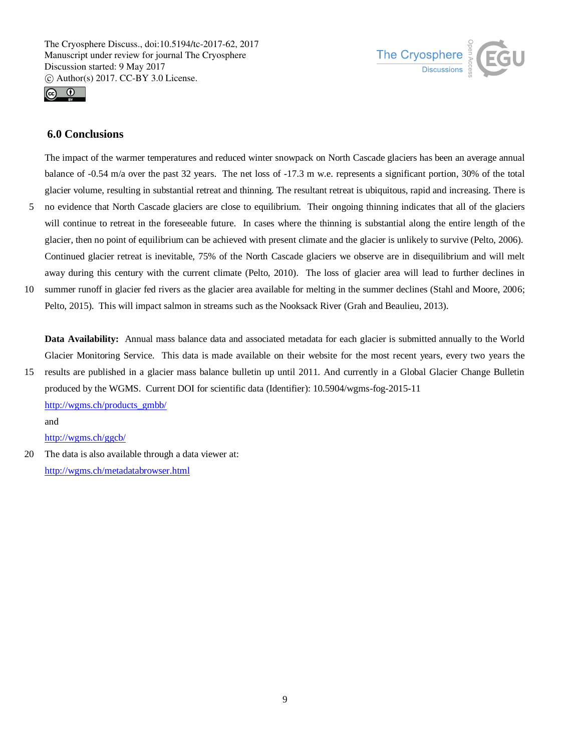



# **6.0 Conclusions**

The impact of the warmer temperatures and reduced winter snowpack on North Cascade glaciers has been an average annual balance of -0.54 m/a over the past 32 years. The net loss of -17.3 m w.e. represents a significant portion, 30% of the total glacier volume, resulting in substantial retreat and thinning. The resultant retreat is ubiquitous, rapid and increasing. There is 5 no evidence that North Cascade glaciers are close to equilibrium. Their ongoing thinning indicates that all of the glaciers will continue to retreat in the foreseeable future. In cases where the thinning is substantial along the entire length of the glacier, then no point of equilibrium can be achieved with present climate and the glacier is unlikely to survive (Pelto, 2006). Continued glacier retreat is inevitable, 75% of the North Cascade glaciers we observe are in disequilibrium and will melt

away during this century with the current climate (Pelto, 2010). The loss of glacier area will lead to further declines in 10 summer runoff in glacier fed rivers as the glacier area available for melting in the summer declines (Stahl and Moore, 2006; Pelto, 2015). This will impact salmon in streams such as the Nooksack River (Grah and Beaulieu, 2013).

**Data Availability:** Annual mass balance data and associated metadata for each glacier is submitted annually to the World Glacier Monitoring Service. This data is made available on their website for the most recent years, every two years the

15 results are published in a glacier mass balance bulletin up until 2011. And currently in a Global Glacier Change Bulletin produced by the WGMS. Current DOI for scientific data (Identifier): 10.5904/wgms-fog-2015-11 http://wgms.ch/products\_gmbb/ and

http://wgms.ch/ggcb/

20 The data is also available through a data viewer at: http://wgms.ch/metadatabrowser.html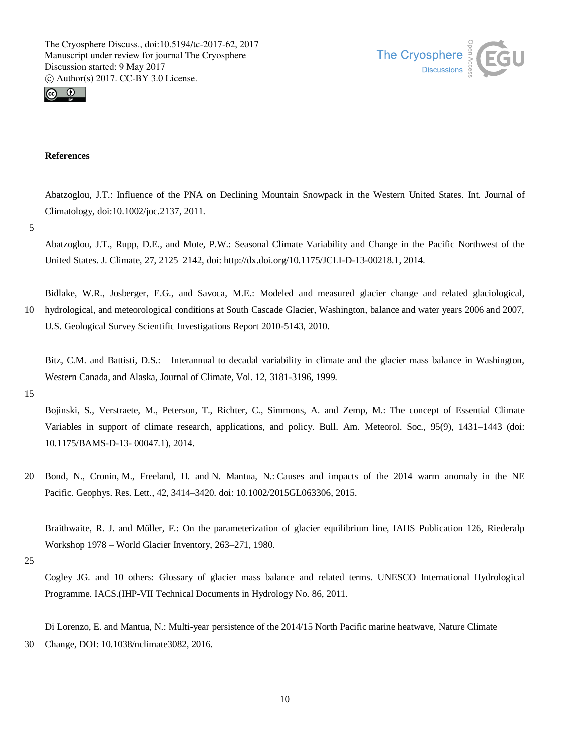



## **References**

Abatzoglou, J.T.: Influence of the PNA on Declining Mountain Snowpack in the Western United States. Int. Journal of Climatology, doi:10.1002/joc.2137, 2011.

5

Abatzoglou, J.T., Rupp, D.E., and Mote, P.W.: Seasonal Climate Variability and Change in the Pacific Northwest of the United States. J. Climate, 27, 2125–2142, doi: http://dx.doi.org/10.1175/JCLI-D-13-00218.1, 2014.

Bidlake, W.R., Josberger, E.G., and Savoca, M.E.: Modeled and measured glacier change and related glaciological, 10 hydrological, and meteorological conditions at South Cascade Glacier, Washington, balance and water years 2006 and 2007, U.S. Geological Survey Scientific Investigations Report 2010-5143, 2010.

Bitz, C.M. and Battisti, D.S.: Interannual to decadal variability in climate and the glacier mass balance in Washington, Western Canada, and Alaska, Journal of Climate, Vol. 12, 3181-3196, 1999.

15

Bojinski, S., Verstraete, M., Peterson, T., Richter, C., Simmons, A. and Zemp, M.: The concept of Essential Climate Variables in support of climate research, applications, and policy. Bull. Am. Meteorol. Soc., 95(9), 1431–1443 (doi: 10.1175/BAMS-D-13- 00047.1), 2014.

20 Bond, N., Cronin, M., Freeland, H. and N. Mantua, N.: Causes and impacts of the 2014 warm anomaly in the NE Pacific. Geophys. Res. Lett., 42, 3414–3420. doi: 10.1002/2015GL063306, 2015.

Braithwaite, R. J. and Müller, F.: On the parameterization of glacier equilibrium line, IAHS Publication 126, Riederalp Workshop 1978 – World Glacier Inventory, 263–271, 1980.

Cogley JG. and 10 others: Glossary of glacier mass balance and related terms. UNESCO–International Hydrological Programme. IACS.(IHP-VII Technical Documents in Hydrology No. 86, 2011.

Di Lorenzo, E. and Mantua, N.: Multi-year persistence of the 2014/15 North Pacific marine heatwave, Nature Climate 30 Change, DOI: 10.1038/nclimate3082, 2016.

<sup>25</sup>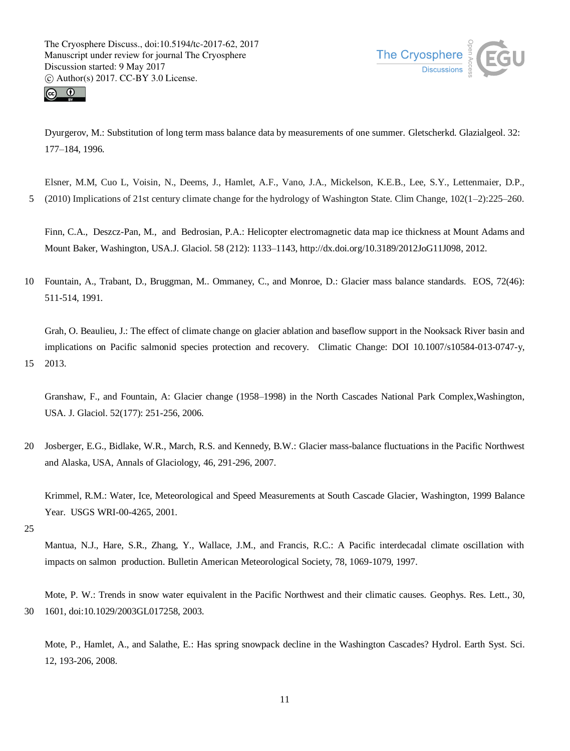![](_page_10_Picture_1.jpeg)

![](_page_10_Picture_2.jpeg)

Dyurgerov, M.: Substitution of long term mass balance data by measurements of one summer. Gletscherkd. Glazialgeol. 32: 177–184, 1996.

Elsner, M.M, Cuo L, Voisin, N., Deems, J., Hamlet, A.F., Vano, J.A., Mickelson, K.E.B., Lee, S.Y., Lettenmaier, D.P., 5 (2010) Implications of 21st century climate change for the hydrology of Washington State. Clim Change, 102(1–2):225–260.

Finn, C.A., Deszcz-Pan, M., and Bedrosian, P.A.: Helicopter electromagnetic data map ice thickness at Mount Adams and Mount Baker, Washington, USA.J. Glaciol. 58 (212): 1133–1143, http://dx.doi.org/10.3189/2012JoG11J098, 2012.

10 Fountain, A., Trabant, D., Bruggman, M.. Ommaney, C., and Monroe, D.: Glacier mass balance standards. EOS, 72(46): 511-514, 1991.

Grah, O. Beaulieu, J.: The effect of climate change on glacier ablation and baseflow support in the Nooksack River basin and implications on Pacific salmonid species protection and recovery. Climatic Change: DOI 10.1007/s10584-013-0747-y, 15 2013.

Granshaw, F., and Fountain, A: Glacier change (1958–1998) in the North Cascades National Park Complex,Washington, USA. J. Glaciol. 52(177): 251-256, 2006.

20 Josberger, E.G., Bidlake, W.R., March, R.S. and Kennedy, B.W.: Glacier mass-balance fluctuations in the Pacific Northwest and Alaska, USA, Annals of Glaciology, 46, 291-296, 2007.

Krimmel, R.M.: Water, Ice, Meteorological and Speed Measurements at South Cascade Glacier, Washington, 1999 Balance Year. USGS WRI-00-4265, 2001.

25

Mantua, N.J., Hare, S.R., Zhang, Y., Wallace, J.M., and Francis, R.C.: A Pacific interdecadal climate oscillation with impacts on salmon production. Bulletin American Meteorological Society, 78, 1069-1079, 1997.

Mote, P. W.: Trends in snow water equivalent in the Pacific Northwest and their climatic causes. Geophys. Res. Lett., 30, 30 1601, doi:10.1029/2003GL017258, 2003.

Mote, P., Hamlet, A., and Salathe, E.: Has spring snowpack decline in the Washington Cascades? Hydrol. Earth Syst. Sci. 12, 193-206, 2008.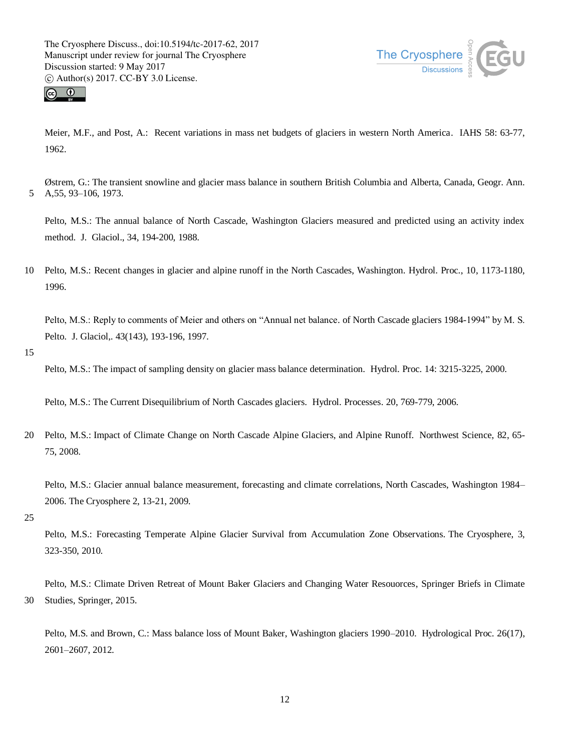![](_page_11_Picture_1.jpeg)

![](_page_11_Picture_2.jpeg)

Meier, M.F., and Post, A.: Recent variations in mass net budgets of glaciers in western North America. IAHS 58: 63-77, 1962.

Østrem, G.: The transient snowline and glacier mass balance in southern British Columbia and Alberta, Canada, Geogr. Ann. 5 A,55, 93–106, 1973.

Pelto, M.S.: The annual balance of North Cascade, Washington Glaciers measured and predicted using an activity index method. J. Glaciol., 34, 194-200, 1988.

10 Pelto, M.S.: Recent changes in glacier and alpine runoff in the North Cascades, Washington. Hydrol. Proc., 10, 1173-1180, 1996.

Pelto, M.S.: Reply to comments of Meier and others on "Annual net balance. of North Cascade glaciers 1984-1994" by M. S. Pelto. J. Glaciol,. 43(143), 193-196, 1997.

15

Pelto, M.S.: The impact of sampling density on glacier mass balance determination. Hydrol. Proc. 14: 3215-3225, 2000.

```
Pelto, M.S.: The Current Disequilibrium of North Cascades glaciers. Hydrol. Processes. 20, 769-779, 2006.
```
20 Pelto, M.S.: Impact of Climate Change on North Cascade Alpine Glaciers, and Alpine Runoff. Northwest Science, 82, 65- 75, 2008.

Pelto, M.S.: Glacier annual balance measurement, forecasting and climate correlations, North Cascades, Washington 1984– 2006. The Cryosphere 2, 13-21, 2009.

25

Pelto, M.S.: Forecasting Temperate Alpine Glacier Survival from Accumulation Zone Observations. The Cryosphere, 3, 323-350, 2010.

Pelto, M.S.: Climate Driven Retreat of Mount Baker Glaciers and Changing Water Resouorces, Springer Briefs in Climate 30 Studies, Springer, 2015.

Pelto, M.S. and Brown, C.: Mass balance loss of Mount Baker, Washington glaciers 1990–2010. Hydrological Proc. 26(17), 2601–2607, 2012.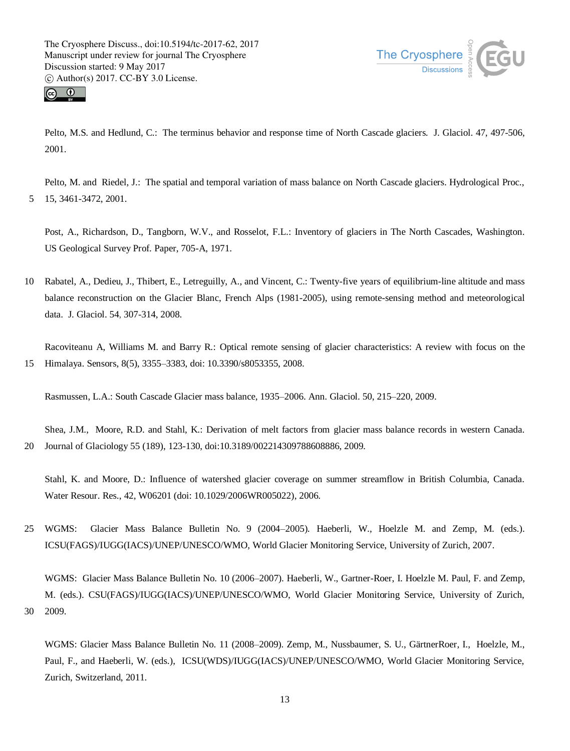![](_page_12_Picture_1.jpeg)

![](_page_12_Picture_2.jpeg)

Pelto, M.S. and Hedlund, C.: The terminus behavior and response time of North Cascade glaciers. J. Glaciol. 47, 497-506, 2001.

Pelto, M. and Riedel, J.: The spatial and temporal variation of mass balance on North Cascade glaciers. Hydrological Proc., 5 15, 3461-3472, 2001.

Post, A., Richardson, D., Tangborn, W.V., and Rosselot, F.L.: Inventory of glaciers in The North Cascades, Washington. US Geological Survey Prof. Paper, 705-A, 1971.

10 Rabatel, A., Dedieu, J., Thibert, E., Letreguilly, A., and Vincent, C.: Twenty-five years of equilibrium-line altitude and mass balance reconstruction on the Glacier Blanc, French Alps (1981-2005), using remote-sensing method and meteorological data. J. Glaciol. 54, 307-314, 2008.

Racoviteanu A, Williams M. and Barry R.: Optical remote sensing of glacier characteristics: A review with focus on the 15 Himalaya. Sensors, 8(5), 3355–3383, doi: 10.3390/s8053355, 2008.

Rasmussen, L.A.: South Cascade Glacier mass balance, 1935–2006. Ann. Glaciol. 50, 215–220, 2009.

Shea, J.M., Moore, R.D. and Stahl, K.: Derivation of melt factors from glacier mass balance records in western Canada. 20 Journal of Glaciology 55 (189), 123-130, doi:10.3189/002214309788608886, 2009.

Stahl, K. and Moore, D.: Influence of watershed glacier coverage on summer streamflow in British Columbia, Canada. Water Resour. Res., 42, W06201 (doi: 10.1029/2006WR005022), 2006.

25 WGMS: Glacier Mass Balance Bulletin No. 9 (2004–2005). Haeberli, W., Hoelzle M. and Zemp, M. (eds.). ICSU(FAGS)/IUGG(IACS)/UNEP/UNESCO/WMO, World Glacier Monitoring Service, University of Zurich, 2007.

WGMS: Glacier Mass Balance Bulletin No. 10 (2006–2007). Haeberli, W., Gartner-Roer, I. Hoelzle M. Paul, F. and Zemp, M. (eds.). CSU(FAGS)/IUGG(IACS)/UNEP/UNESCO/WMO, World Glacier Monitoring Service, University of Zurich, 30 2009.

WGMS: Glacier Mass Balance Bulletin No. 11 (2008–2009). Zemp, M., Nussbaumer, S. U., GärtnerRoer, I., Hoelzle, M., Paul, F., and Haeberli, W. (eds.), ICSU(WDS)/IUGG(IACS)/UNEP/UNESCO/WMO, World Glacier Monitoring Service, Zurich, Switzerland, 2011.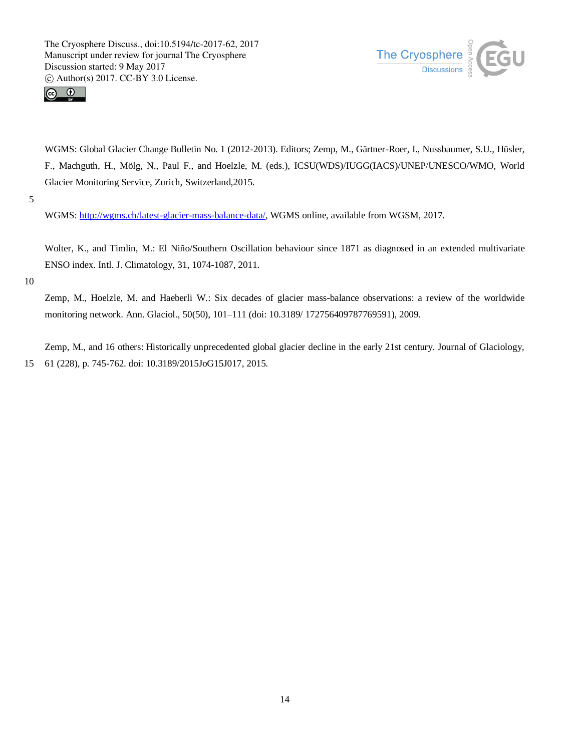![](_page_13_Picture_1.jpeg)

![](_page_13_Picture_2.jpeg)

WGMS: Global Glacier Change Bulletin No. 1 (2012-2013). Editors; Zemp, M., Gärtner-Roer, I., Nussbaumer, S.U., Hüsler, F., Machguth, H., Mölg, N., Paul F., and Hoelzle, M. (eds.), ICSU(WDS)/IUGG(IACS)/UNEP/UNESCO/WMO, World Glacier Monitoring Service, Zurich, Switzerland,2015.

5

WGMS: http://wgms.ch/latest-glacier-mass-balance-data/, WGMS online, available from WGSM, 2017.

Wolter, K., and Timlin, M.: El Niño/Southern Oscillation behaviour since 1871 as diagnosed in an extended multivariate ENSO index. Intl. J. Climatology, 31, 1074-1087, 2011.

10

Zemp, M., Hoelzle, M. and Haeberli W.: Six decades of glacier mass-balance observations: a review of the worldwide monitoring network. Ann. Glaciol., 50(50), 101–111 (doi: 10.3189/ 172756409787769591), 2009.

Zemp, M., and 16 others: Historically unprecedented global glacier decline in the early 21st century. Journal of Glaciology, 15 61 (228), p. 745-762. doi: 10.3189/2015JoG15J017, 2015.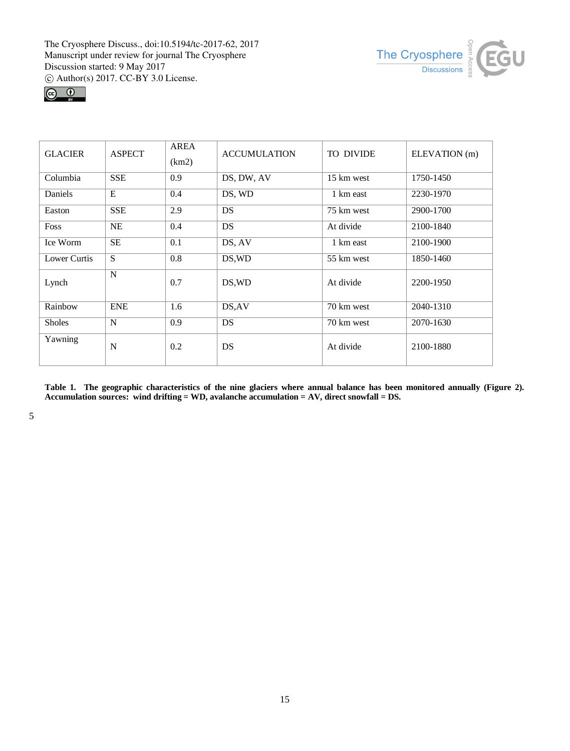![](_page_14_Picture_1.jpeg)

![](_page_14_Figure_2.jpeg)

| <b>GLACIER</b> | <b>ASPECT</b> | AREA<br>(km2) | <b>ACCUMULATION</b> | TO DIVIDE  | ELEVATION (m) |  |
|----------------|---------------|---------------|---------------------|------------|---------------|--|
| Columbia       | <b>SSE</b>    | 0.9           | DS, DW, AV          | 15 km west | 1750-1450     |  |
| Daniels        | E             | 0.4           | DS, WD              | 1 km east  | 2230-1970     |  |
| Easton         | <b>SSE</b>    | 2.9           | <b>DS</b>           | 75 km west | 2900-1700     |  |
| Foss           | <b>NE</b>     | 0.4           | <b>DS</b>           | At divide  | 2100-1840     |  |
| Ice Worm       | <b>SE</b>     | 0.1           | DS, AV              | 1 km east  | 2100-1900     |  |
| Lower Curtis   | S             | 0.8           | DS, WD              | 55 km west | 1850-1460     |  |
| Lynch          | N             | 0.7           | DS, WD              | At divide  | 2200-1950     |  |
| Rainbow        | <b>ENE</b>    | 1.6           | DS, AV              | 70 km west | 2040-1310     |  |
| <b>Sholes</b>  | N             | 0.9           | <b>DS</b>           | 70 km west | 2070-1630     |  |
| Yawning        | N             | 0.2           | DS                  | At divide  | 2100-1880     |  |

**Table 1. The geographic characteristics of the nine glaciers where annual balance has been monitored annually (Figure 2). Accumulation sources: wind drifting = WD, avalanche accumulation = AV, direct snowfall = DS.**

5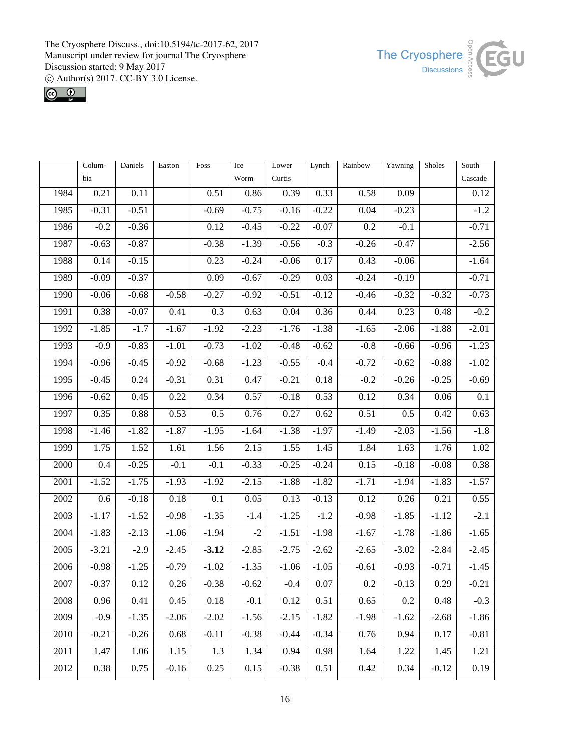![](_page_15_Picture_1.jpeg)

![](_page_15_Picture_2.jpeg)

|                  | Colum-  | Daniels  | Easton  | Foss    | Ice     | Lower   | Lynch             | Rainbow | Yawning | Sholes  | $\overline{\text{South}}$ |
|------------------|---------|----------|---------|---------|---------|---------|-------------------|---------|---------|---------|---------------------------|
|                  | bia     |          |         |         | Worm    | Curtis  |                   |         |         |         | Cascade                   |
| 1984             | 0.21    | 0.11     |         | 0.51    | 0.86    | 0.39    | 0.33              | 0.58    | 0.09    |         | 0.12                      |
| 1985             | $-0.31$ | $-0.51$  |         | $-0.69$ | $-0.75$ | $-0.16$ | $-0.22$           | 0.04    | $-0.23$ |         | $-1.2$                    |
| 1986             | $-0.2$  | $-0.36$  |         | 0.12    | $-0.45$ | $-0.22$ | $-0.07$           | 0.2     | $-0.1$  |         | $-0.71$                   |
| 1987             | $-0.63$ | $-0.87$  |         | $-0.38$ | $-1.39$ | $-0.56$ | $-0.3$            | $-0.26$ | $-0.47$ |         | $-2.56$                   |
| 1988             | 0.14    | $-0.15$  |         | 0.23    | $-0.24$ | $-0.06$ | 0.17              | 0.43    | $-0.06$ |         | $-1.64$                   |
| 1989             | $-0.09$ | $-0.37$  |         | 0.09    | $-0.67$ | $-0.29$ | 0.03              | $-0.24$ | $-0.19$ |         | $-0.71$                   |
| 1990             | $-0.06$ | $-0.68$  | $-0.58$ | $-0.27$ | $-0.92$ | $-0.51$ | $-0.12$           | $-0.46$ | $-0.32$ | $-0.32$ | $-0.73$                   |
| 1991             | 0.38    | $-0.07$  | 0.41    | 0.3     | 0.63    | 0.04    | 0.36              | 0.44    | 0.23    | 0.48    | $-0.2$                    |
| 1992             | $-1.85$ | $-1.7$   | $-1.67$ | $-1.92$ | $-2.23$ | $-1.76$ | $-1.38$           | $-1.65$ | $-2.06$ | $-1.88$ | $-2.01$                   |
| 1993             | $-0.9$  | $-0.83$  | $-1.01$ | $-0.73$ | $-1.02$ | $-0.48$ | $-0.62$           | $-0.8$  | $-0.66$ | $-0.96$ | $-1.23$                   |
| 1994             | $-0.96$ | $-0.45$  | $-0.92$ | $-0.68$ | $-1.23$ | $-0.55$ | $-0.4$            | $-0.72$ | $-0.62$ | $-0.88$ | $-1.02$                   |
| 1995             | $-0.45$ | 0.24     | $-0.31$ | 0.31    | 0.47    | $-0.21$ | 0.18              | $-0.2$  | $-0.26$ | $-0.25$ | $-0.69$                   |
| 1996             | $-0.62$ | 0.45     | 0.22    | 0.34    | 0.57    | $-0.18$ | 0.53              | 0.12    | 0.34    | 0.06    | $\overline{0.1}$          |
| 1997             | 0.35    | 0.88     | 0.53    | 0.5     | 0.76    | 0.27    | 0.62              | 0.51    | 0.5     | 0.42    | 0.63                      |
| 1998             | $-1.46$ | $-1.82$  | $-1.87$ | $-1.95$ | $-1.64$ | $-1.38$ | $-1.97$           | $-1.49$ | $-2.03$ | $-1.56$ | $-1.8$                    |
| 1999             | 1.75    | 1.52     | 1.61    | 1.56    | 2.15    | 1.55    | 1.45              | 1.84    | 1.63    | 1.76    | 1.02                      |
| 2000             | 0.4     | $-0.25$  | $-0.1$  | $-0.1$  | $-0.33$ | $-0.25$ | $-0.24$           | 0.15    | $-0.18$ | $-0.08$ | 0.38                      |
| 2001             | $-1.52$ | $-1.75$  | $-1.93$ | $-1.92$ | $-2.15$ | $-1.88$ | $-1.82$           | $-1.71$ | $-1.94$ | $-1.83$ | $-1.57$                   |
| 2002             | 0.6     | $-0.18$  | 0.18    | 0.1     | 0.05    | 0.13    | $-0.13$           | 0.12    | 0.26    | 0.21    | 0.55                      |
| 2003             | $-1.17$ | $-1.52$  | $-0.98$ | $-1.35$ | $-1.4$  | $-1.25$ | $-1.2$            | $-0.98$ | $-1.85$ | $-1.12$ | $-2.1$                    |
| 2004             | $-1.83$ | $-2.13$  | $-1.06$ | $-1.94$ | $-2$    | $-1.51$ | $-1.98$           | $-1.67$ | $-1.78$ | $-1.86$ | $-1.65$                   |
| 2005             | $-3.21$ | $-2.9$   | $-2.45$ | $-3.12$ | $-2.85$ | $-2.75$ | $-2.62$           | $-2.65$ | $-3.02$ | $-2.84$ | $-2.45$                   |
| 2006             | $-0.98$ | $-1.25$  | $-0.79$ | $-1.02$ | $-1.35$ | $-1.06$ | $-1.05$           | $-0.61$ | $-0.93$ | $-0.71$ | $-1.45$                   |
| $\frac{1}{2007}$ | $-0.37$ | $0.12\,$ | 0.26    | $-0.38$ | $-0.62$ | $-0.4$  | $\overline{0.07}$ | $0.2\,$ | $-0.13$ | 0.29    | $-0.21$                   |
| 2008             | 0.96    | 0.41     | 0.45    | 0.18    | $-0.1$  | 0.12    | 0.51              | 0.65    | 0.2     | 0.48    | $-0.3$                    |
| 2009             | $-0.9$  | $-1.35$  | $-2.06$ | $-2.02$ | $-1.56$ | $-2.15$ | $-1.82$           | $-1.98$ | $-1.62$ | $-2.68$ | $-1.86$                   |
| 2010             | $-0.21$ | $-0.26$  | 0.68    | $-0.11$ | $-0.38$ | $-0.44$ | $-0.34$           | 0.76    | 0.94    | 0.17    | $-0.81$                   |
| 2011             | 1.47    | 1.06     | 1.15    | 1.3     | 1.34    | 0.94    | 0.98              | 1.64    | 1.22    | 1.45    | 1.21                      |
| 2012             | 0.38    | 0.75     | $-0.16$ | 0.25    | 0.15    | $-0.38$ | 0.51              | 0.42    | 0.34    | $-0.12$ | 0.19                      |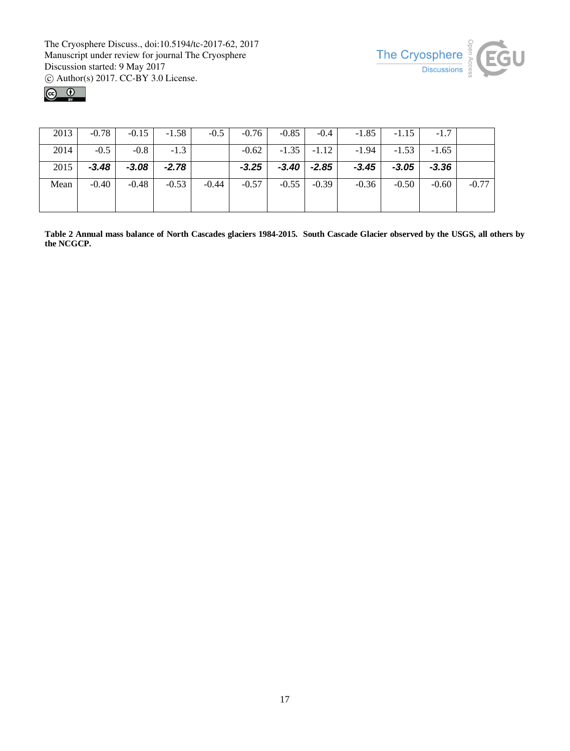![](_page_16_Picture_1.jpeg)

![](_page_16_Figure_2.jpeg)

| 2013 | $-0.78$ | $-0.15$ | $-1.58$ | $-0.5$  | $-0.76$ | $-0.85$ | $-0.4$  | $-1.85$ | $-1.15$ | $-1.7$  |         |
|------|---------|---------|---------|---------|---------|---------|---------|---------|---------|---------|---------|
| 2014 | $-0.5$  | $-0.8$  | $-1.3$  |         | $-0.62$ | $-1.35$ | $-1.12$ | $-1.94$ | $-1.53$ | $-1.65$ |         |
| 2015 | $-3.48$ | $-3.08$ | $-2.78$ |         | $-3.25$ | $-3.40$ | $-2.85$ | $-3.45$ | $-3.05$ | $-3.36$ |         |
| Mean | $-0.40$ | $-0.48$ | $-0.53$ | $-0.44$ | $-0.57$ | $-0.55$ | $-0.39$ | $-0.36$ | $-0.50$ | $-0.60$ | $-0.77$ |
|      |         |         |         |         |         |         |         |         |         |         |         |

**Table 2 Annual mass balance of North Cascades glaciers 1984-2015. South Cascade Glacier observed by the USGS, all others by the NCGCP.**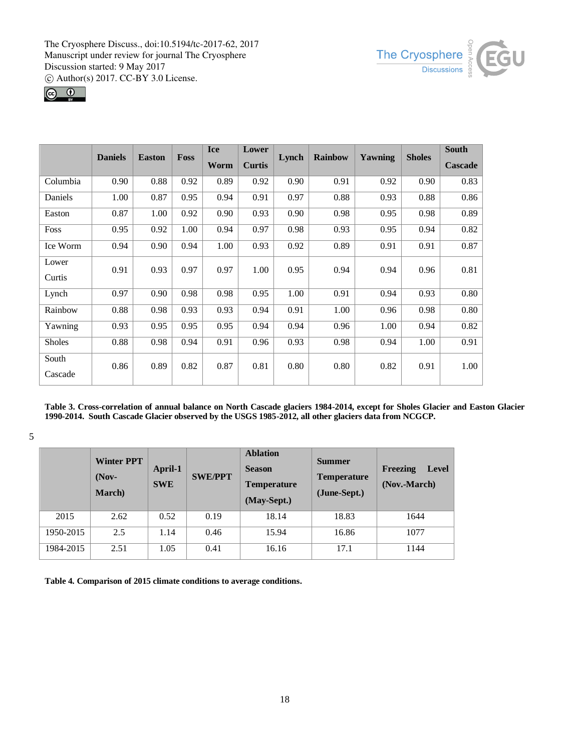![](_page_17_Picture_1.jpeg)

![](_page_17_Figure_2.jpeg)

|               | <b>Daniels</b> | <b>Easton</b> | <b>Foss</b> | <b>Ice</b> | Lower         | Lynch | <b>Rainbow</b> | Yawning | <b>Sholes</b> |                |
|---------------|----------------|---------------|-------------|------------|---------------|-------|----------------|---------|---------------|----------------|
|               |                |               |             | Worm       | <b>Curtis</b> |       |                |         |               | <b>Cascade</b> |
| Columbia      | 0.90           | 0.88          | 0.92        | 0.89       | 0.92          | 0.90  | 0.91           | 0.92    | 0.90          | 0.83           |
| Daniels       | 1.00           | 0.87          | 0.95        | 0.94       | 0.91          | 0.97  | 0.88           | 0.93    | 0.88          | 0.86           |
| Easton        | 0.87           | 1.00          | 0.92        | 0.90       | 0.93          | 0.90  | 0.98           | 0.95    | 0.98          | 0.89           |
| Foss          | 0.95           | 0.92          | 1.00        | 0.94       | 0.97          | 0.98  | 0.93           | 0.95    | 0.94          | 0.82           |
| Ice Worm      | 0.94           | 0.90          | 0.94        | 1.00       | 0.93          | 0.92  | 0.89           | 0.91    | 0.91          | 0.87           |
| Lower         | 0.91           | 0.93          | 0.97        | 0.97       | 1.00          | 0.95  | 0.94           | 0.94    | 0.96          | 0.81           |
| Curtis        |                |               |             |            |               |       |                |         |               |                |
| Lynch         | 0.97           | 0.90          | 0.98        | 0.98       | 0.95          | 1.00  | 0.91           | 0.94    | 0.93          | 0.80           |
| Rainbow       | 0.88           | 0.98          | 0.93        | 0.93       | 0.94          | 0.91  | 1.00           | 0.96    | 0.98          | 0.80           |
| Yawning       | 0.93           | 0.95          | 0.95        | 0.95       | 0.94          | 0.94  | 0.96           | 1.00    | 0.94          | 0.82           |
| <b>Sholes</b> | 0.88           | 0.98          | 0.94        | 0.91       | 0.96          | 0.93  | 0.98           | 0.94    | 1.00          | 0.91           |
| South         | 0.86           | 0.89          | 0.82        | 0.87       | 0.81          | 0.80  | 0.80           | 0.82    | 0.91          | 1.00           |
| Cascade       |                |               |             |            |               |       |                |         |               |                |

**Table 3. Cross-correlation of annual balance on North Cascade glaciers 1984-2014, except for Sholes Glacier and Easton Glacier 1990-2014. South Cascade Glacier observed by the USGS 1985-2012, all other glaciers data from NCGCP.**

5

|           | <b>Winter PPT</b><br>$($ Nov-<br><b>March</b> ) | April-1<br><b>SWE</b> | <b>SWE/PPT</b> | <b>Ablation</b><br><b>Season</b><br><b>Temperature</b><br>(May-Sept.) | <b>Summer</b><br><b>Temperature</b><br>(June-Sept.) | Freezing<br>Level<br>(Nov.-March) |
|-----------|-------------------------------------------------|-----------------------|----------------|-----------------------------------------------------------------------|-----------------------------------------------------|-----------------------------------|
| 2015      | 2.62                                            | 0.52                  | 0.19           | 18.14                                                                 | 18.83                                               | 1644                              |
| 1950-2015 | 2.5                                             | 1.14                  | 0.46           | 15.94                                                                 | 16.86                                               | 1077                              |
| 1984-2015 | 2.51                                            | 1.05                  | 0.41           | 16.16                                                                 | 17.1                                                | 1144                              |

**Table 4. Comparison of 2015 climate conditions to average conditions.**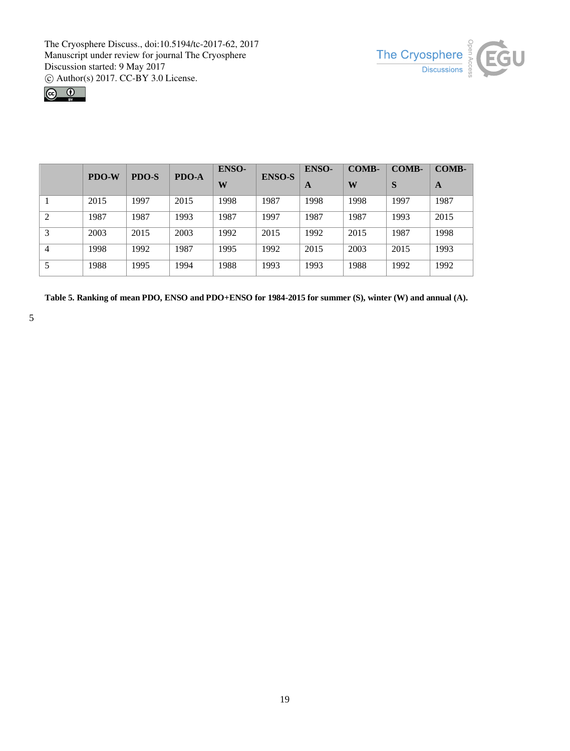![](_page_18_Picture_1.jpeg)

![](_page_18_Picture_2.jpeg)

|   | <b>PDO-W</b> | <b>PDO-S</b> | PDO-A | ENSO- | <b>ENSO-S</b> | <b>ENSO-</b> | <b>COMB-</b> | <b>COMB-</b> | COMB- |
|---|--------------|--------------|-------|-------|---------------|--------------|--------------|--------------|-------|
|   |              |              |       | W     |               | A            | W            | S            | A     |
|   | 2015         | 1997         | 2015  | 1998  | 1987          | 1998         | 1998         | 1997         | 1987  |
| 2 | 1987         | 1987         | 1993  | 1987  | 1997          | 1987         | 1987         | 1993         | 2015  |
| 3 | 2003         | 2015         | 2003  | 1992  | 2015          | 1992         | 2015         | 1987         | 1998  |
| 4 | 1998         | 1992         | 1987  | 1995  | 1992          | 2015         | 2003         | 2015         | 1993  |
|   | 1988         | 1995         | 1994  | 1988  | 1993          | 1993         | 1988         | 1992         | 1992  |

**Table 5. Ranking of mean PDO, ENSO and PDO+ENSO for 1984-2015 for summer (S), winter (W) and annual (A).**

5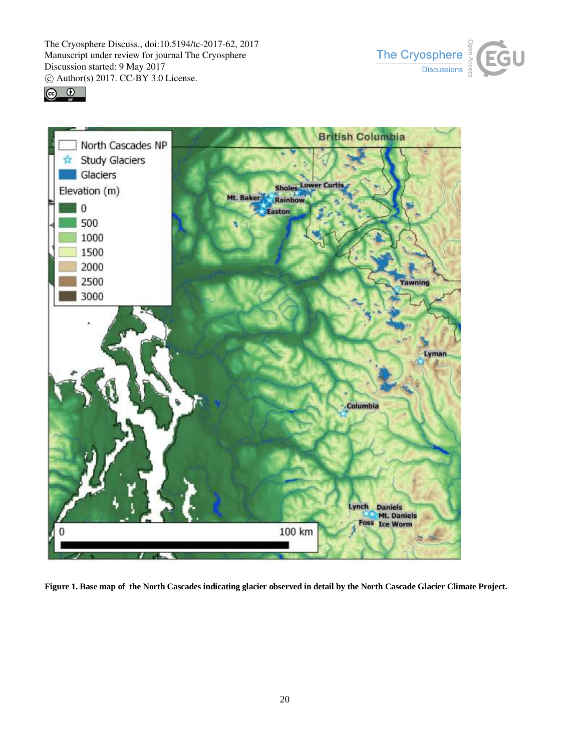![](_page_19_Picture_1.jpeg)

![](_page_19_Picture_2.jpeg)

![](_page_19_Figure_3.jpeg)

**Figure 1. Base map of the North Cascades indicating glacier observed in detail by the North Cascade Glacier Climate Project.**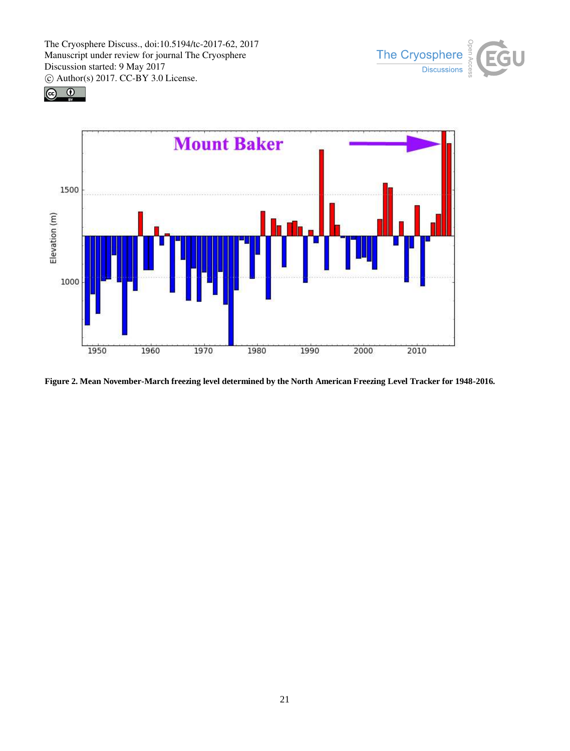![](_page_20_Picture_1.jpeg)

![](_page_20_Figure_2.jpeg)

![](_page_20_Figure_3.jpeg)

**Figure 2. Mean November-March freezing level determined by the North American Freezing Level Tracker for 1948-2016.**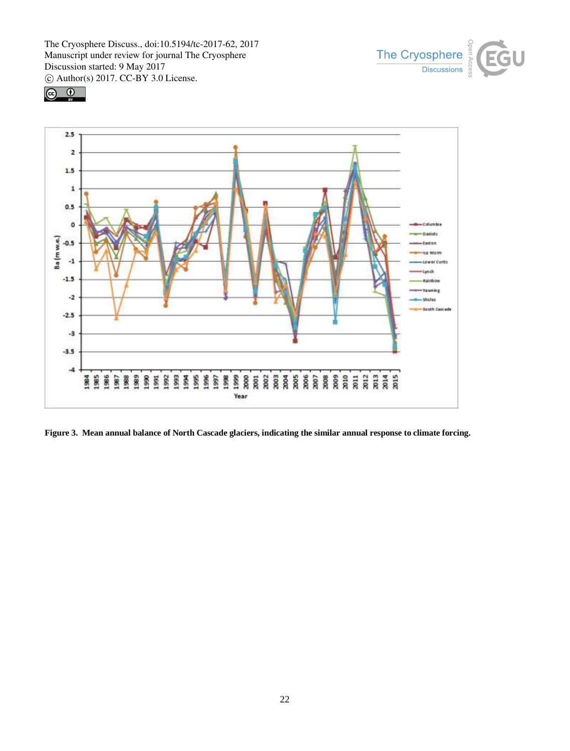![](_page_21_Picture_1.jpeg)

![](_page_21_Figure_2.jpeg)

![](_page_21_Figure_3.jpeg)

**Figure 3. Mean annual balance of North Cascade glaciers, indicating the similar annual response to climate forcing.**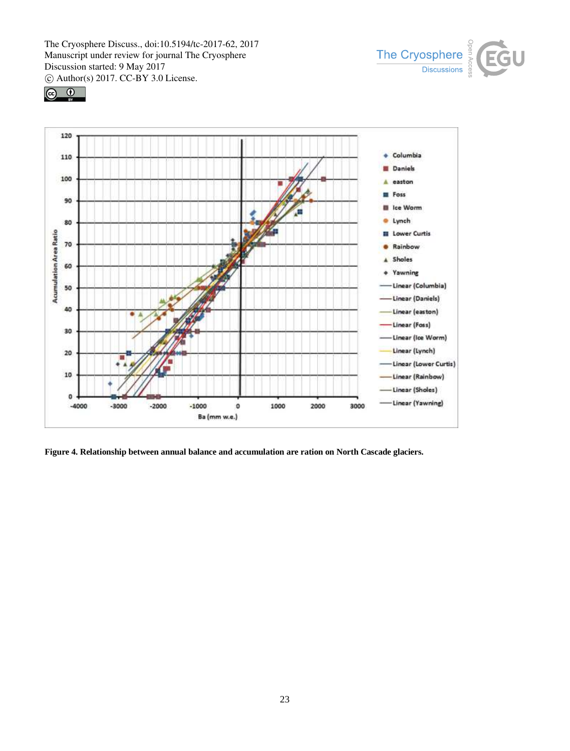![](_page_22_Picture_1.jpeg)

![](_page_22_Figure_2.jpeg)

![](_page_22_Figure_3.jpeg)

**Figure 4. Relationship between annual balance and accumulation are ration on North Cascade glaciers.**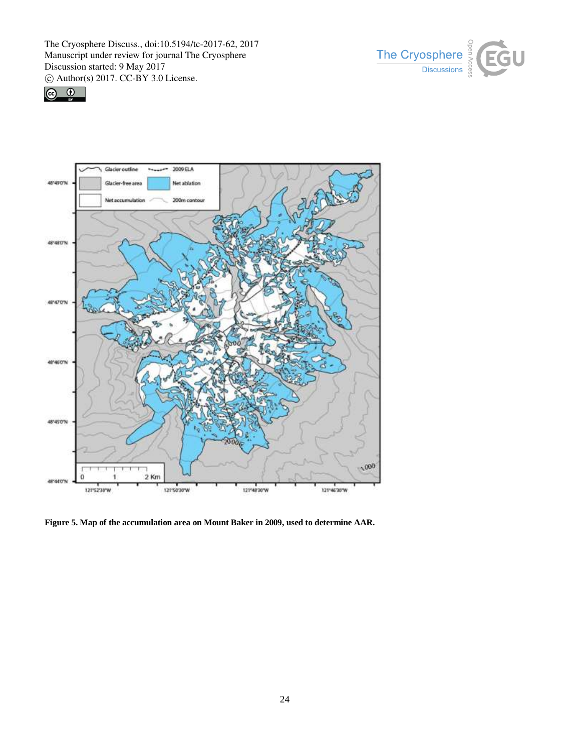![](_page_23_Picture_1.jpeg)

![](_page_23_Picture_2.jpeg)

![](_page_23_Figure_3.jpeg)

**Figure 5. Map of the accumulation area on Mount Baker in 2009, used to determine AAR.**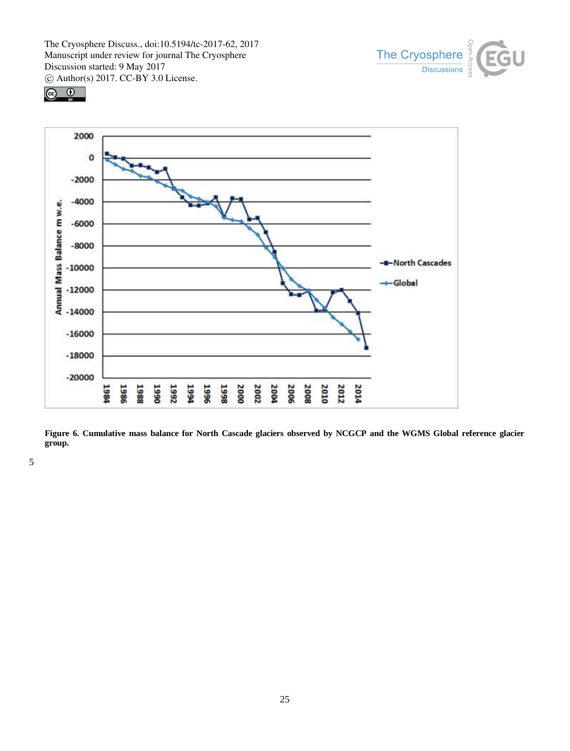![](_page_24_Picture_1.jpeg)

![](_page_24_Figure_2.jpeg)

![](_page_24_Figure_3.jpeg)

**Figure 6. Cumulative mass balance for North Cascade glaciers observed by NCGCP and the WGMS Global reference glacier group.** 

5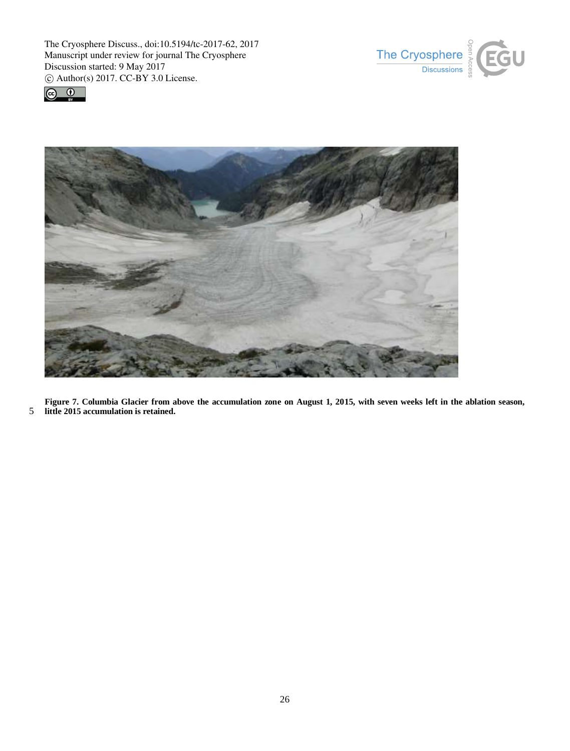![](_page_25_Picture_1.jpeg)

![](_page_25_Picture_2.jpeg)

![](_page_25_Picture_3.jpeg)

**Figure 7. Columbia Glacier from above the accumulation zone on August 1, 2015, with seven weeks left in the ablation season,**  5 **little 2015 accumulation is retained.**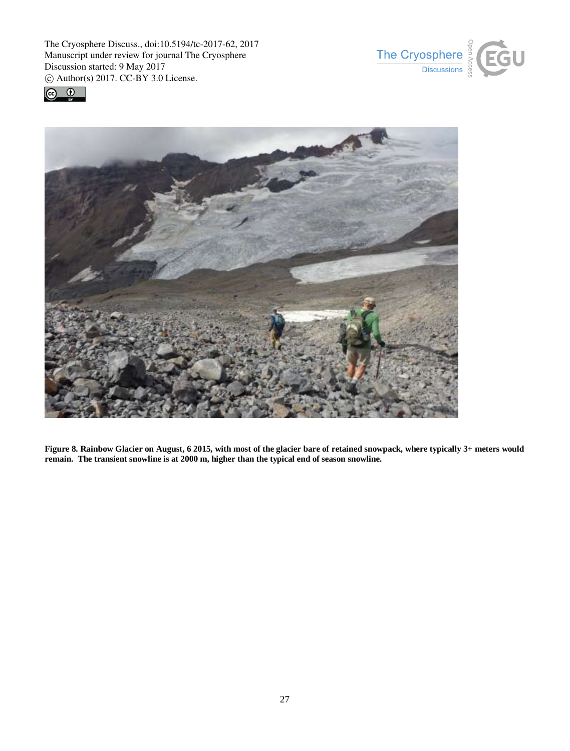![](_page_26_Picture_1.jpeg)

![](_page_26_Picture_2.jpeg)

![](_page_26_Picture_3.jpeg)

**Figure 8. Rainbow Glacier on August, 6 2015, with most of the glacier bare of retained snowpack, where typically 3+ meters would remain. The transient snowline is at 2000 m, higher than the typical end of season snowline.**